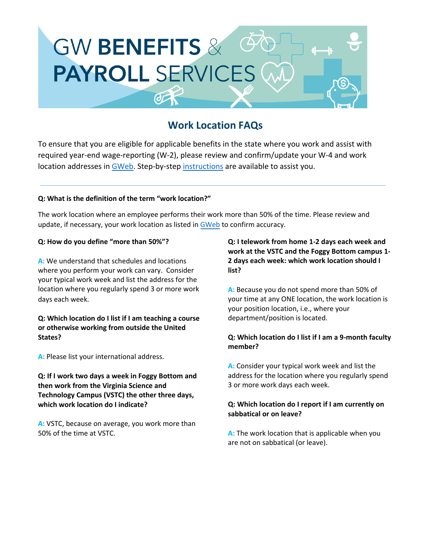

# **Work Location FAQs**

To ensure that you are eligible for applicable benefits in the state where you work and assist with required year-end wage-reporting (W-2), please review and confirm/update your W-4 and work location addresses in [GWeb.](http://it.gwu.edu/gweb) Step-by-step [instructions](https://hr.gwu.edu/sites/g/files/zaxdzs3571/f/downloads/Work%20Location%20Instructions_2022.pdf) are available to assist you.

#### **Q: What is the definition of the term "work location?"**

The work location where an employee performs their work more than 50% of the time. Please review and update, if necessary, your work location as listed i[n GWeb](http://it.gwu.edu/gweb) to confirm accuracy.

#### **Q: How do you define "more than 50%"?**

**A:** We understand that schedules and locations where you perform your work can vary. Consider your typical work week and list the address for the location where you regularly spend 3 or more work days each week.

#### **Q: Which location do I list if I am teaching a course or otherwise working from outside the United States?**

**A:** Please list your international address.

**Q: If I work two days a week in Foggy Bottom and then work from the Virginia Science and Technology Campus (VSTC) the other three days, which work location do I indicate?** 

**A:** VSTC, because on average, you work more than 50% of the time at VSTC.

**Q: I telework from home 1-2 days each week and work at the VSTC and the Foggy Bottom campus 1- 2 days each week: which work location should I list?**

**A:** Because you do not spend more than 50% of your time at any ONE location, the work location is your position location, i.e., where your department/position is located.

#### **Q: Which location do I list if I am a 9-month faculty member?**

**A:** Consider your typical work week and list the address for the location where you regularly spend 3 or more work days each week.

#### **Q: Which location do I report if I am currently on sabbatical or on leave?**

**A:** The work location that is applicable when you are not on sabbatical (or leave).